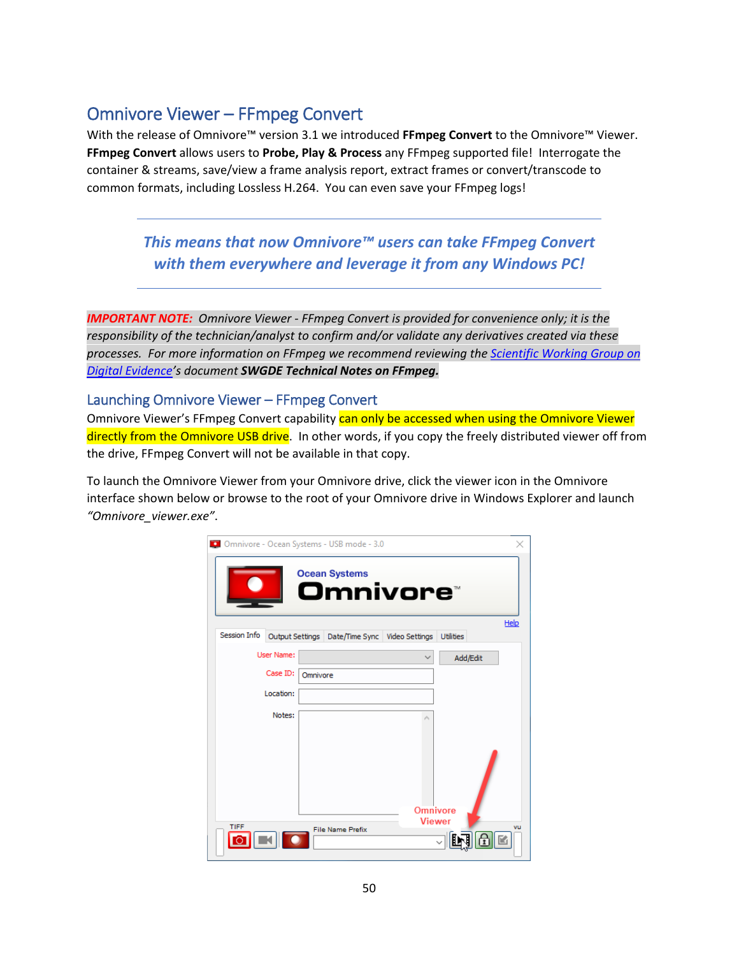# Omnivore Viewer – FFmpeg Convert

With the release of Omnivore™ version 3.1 we introduced **FFmpeg Convert** to the Omnivore™ Viewer. **FFmpeg Convert** allows users to **Probe, Play & Process** any FFmpeg supported file! Interrogate the container & streams, save/view a frame analysis report, extract frames or convert/transcode to common formats, including Lossless H.264. You can even save your FFmpeg logs!

> *This means that now Omnivore™ users can take FFmpeg Convert with them everywhere and leverage it from any Windows PC!*

*IMPORTANT NOTE: Omnivore Viewer - FFmpeg Convert is provided for convenience only; it is the responsibility of the technician/analyst to confirm and/or validate any derivatives created via these processes. For more information on FFmpeg we recommend reviewing the [Scientific Working Group on](https://swgde.org/)  [Digital Evidence'](https://swgde.org/)s document SWGDE Technical Notes on FFmpeg.*

Launching Omnivore Viewer – FFmpeg Convert

Omnivore Viewer's FFmpeg Convert capability can only be accessed when using the Omnivore Viewer directly from the Omnivore USB drive. In other words, if you copy the freely distributed viewer off from the drive, FFmpeg Convert will not be available in that copy.

To launch the Omnivore Viewer from your Omnivore drive, click the viewer icon in the Omnivore interface shown below or browse to the root of your Omnivore drive in Windows Explorer and launch *"Omnivore\_viewer.exe"*.

|              |            |          | Omnivore - Ocean Systems - USB mode - 3.0         |                                  |                  | ×    |
|--------------|------------|----------|---------------------------------------------------|----------------------------------|------------------|------|
|              |            |          | <b>Ocean Systems</b><br>Omnivore®                 |                                  |                  |      |
| Session Info |            |          | Output Settings   Date/Time Sync   Video Settings |                                  | <b>Utilities</b> | Help |
|              | User Name: |          |                                                   |                                  | Add/Edit         |      |
|              | Case ID:   | Omnivore |                                                   |                                  |                  |      |
|              | Location:  |          |                                                   |                                  |                  |      |
|              | Notes:     |          |                                                   |                                  |                  |      |
|              |            |          |                                                   | <b>Omnivore</b><br><b>Viewer</b> |                  |      |
| TIFF         |            |          | <b>File Name Prefix</b>                           |                                  |                  | VU   |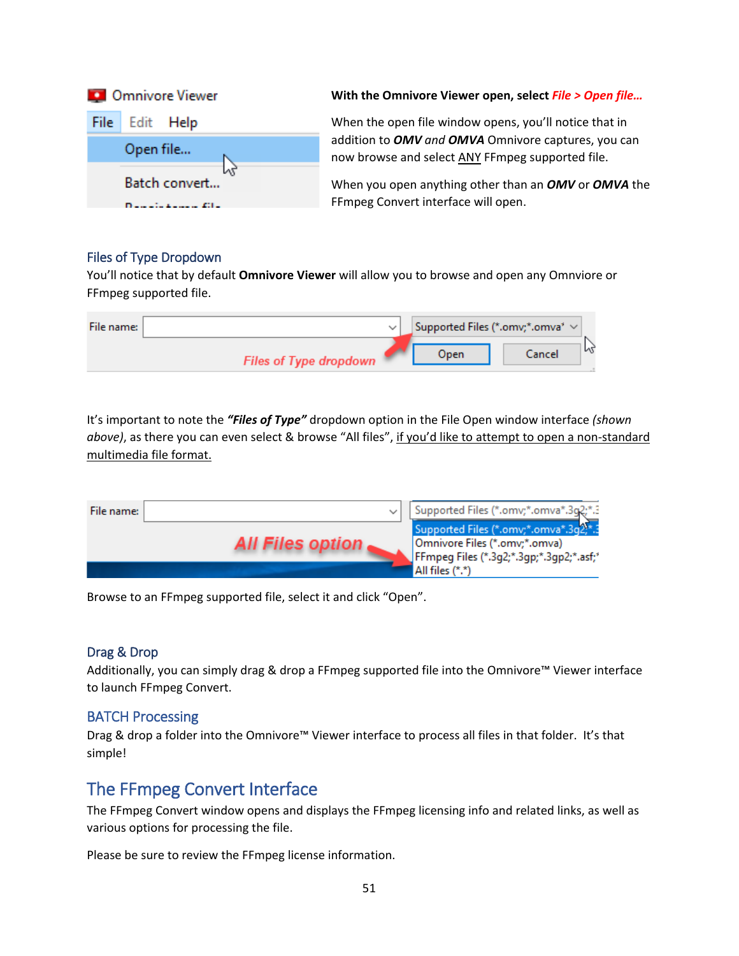

## Files of Type Dropdown

You'll notice that by default **Omnivore Viewer** will allow you to browse and open any Omnviore or FFmpeg supported file.

| File name: |                               |      | Supported Files (*.omv;*.omva' $\vee$ |   |
|------------|-------------------------------|------|---------------------------------------|---|
|            | <b>Files of Type dropdown</b> | Open | Cancel                                | w |

It's important to note the *"Files of Type"* dropdown option in the File Open window interface *(shown above)*, as there you can even select & browse "All files", if you'd like to attempt to open a non-standard multimedia file format.

| File name:        | Supported Files (*.omv;*.omva*.3g2;*.3                                                                                                 |
|-------------------|----------------------------------------------------------------------------------------------------------------------------------------|
| All Files option. | Supported Files (*.omv;*.omva*.3q2;*.3<br>Omnivore Files (*.omv;*.omva)<br>FFmpeg Files (*.3g2;*.3gp;*.3gp2;*.asf;*<br>(*.*) All files |

Browse to an FFmpeg supported file, select it and click "Open".

## Drag & Drop

Additionally, you can simply drag & drop a FFmpeg supported file into the Omnivore™ Viewer interface to launch FFmpeg Convert.

## BATCH Processing

Drag & drop a folder into the Omnivore™ Viewer interface to process all files in that folder. It's that simple!

# The FFmpeg Convert Interface

The FFmpeg Convert window opens and displays the FFmpeg licensing info and related links, as well as various options for processing the file.

Please be sure to review the FFmpeg license information.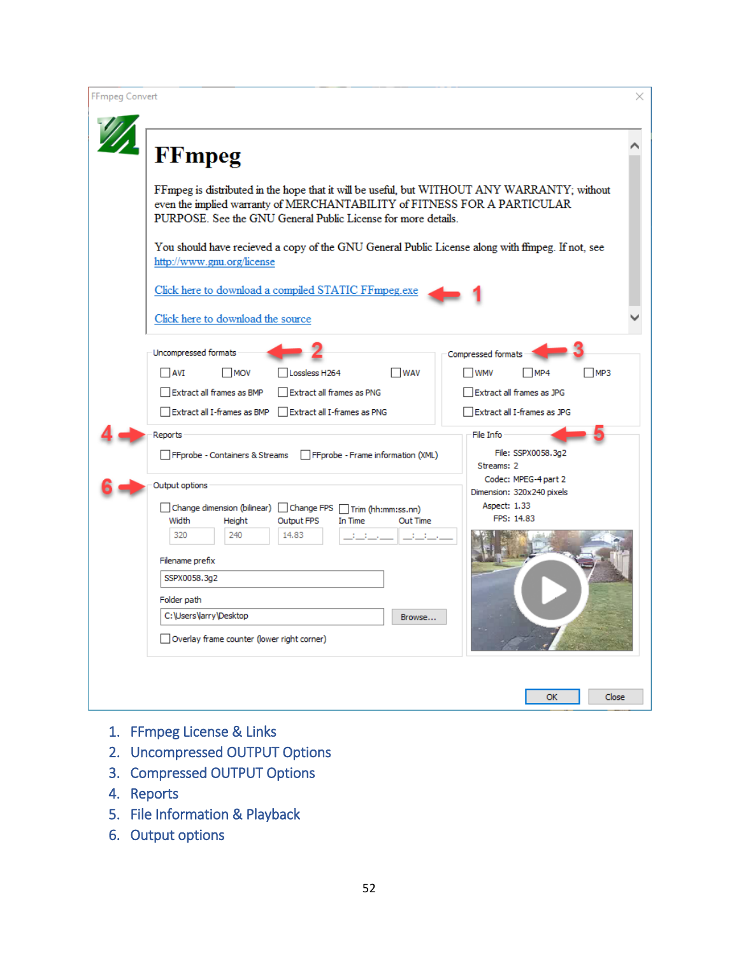| <b>FFmpeg Convert</b>                                                                                                                                                                                                                    | ×                                                                                  |
|------------------------------------------------------------------------------------------------------------------------------------------------------------------------------------------------------------------------------------------|------------------------------------------------------------------------------------|
| <b>FFmpeg</b>                                                                                                                                                                                                                            |                                                                                    |
| FFmpeg is distributed in the hope that it will be useful, but WITHOUT ANY WARRANTY; without<br>even the implied warranty of MERCHANTABILITY of FITNESS FOR A PARTICULAR<br>PURPOSE. See the GNU General Public License for more details. |                                                                                    |
| You should have recieved a copy of the GNU General Public License along with ffinpeg. If not, see<br>http://www.gnu.org/license                                                                                                          |                                                                                    |
| Click here to download a compiled STATIC FFmpeg.exe                                                                                                                                                                                      |                                                                                    |
| Click here to download the source                                                                                                                                                                                                        |                                                                                    |
| Uncompressed formats<br>$\square$ wav<br>$\Box$ AVI<br><b>MOV</b><br>Lossless H264<br>Extract all frames as PNG<br>Extract all frames as BMP                                                                                             | <b>Compressed formats</b><br>$\Box$ wmv<br>MP3<br>MP4<br>Extract all frames as JPG |
| □ Extract all I-frames as BMP □ Extract all I-frames as PNG                                                                                                                                                                              | Extract all I-frames as JPG                                                        |
| Reports<br>FFprobe - Containers & Streams FFprobe - Frame information (XML)                                                                                                                                                              | File Info<br>File: SSPX0058.3g2<br>Streams: 2                                      |
| Output options<br>□ Change dimension (bilinear) □ Change FPS □ Trim (hh:mm:ss.nn)<br>Width<br>Height<br>Output FPS<br>In Time<br>Out Time<br>320<br>240<br>14.83                                                                         | Codec: MPEG-4 part 2<br>Dimension: 320x240 pixels<br>Aspect: 1.33<br>FPS: 14.83    |
| Filename prefix                                                                                                                                                                                                                          |                                                                                    |
| SSPX0058.3g2                                                                                                                                                                                                                             |                                                                                    |
| Folder path<br>C:\Users\larry\Desktop<br>Browse                                                                                                                                                                                          |                                                                                    |
| Overlay frame counter (lower right corner)                                                                                                                                                                                               |                                                                                    |
|                                                                                                                                                                                                                                          |                                                                                    |
|                                                                                                                                                                                                                                          | <b>Close</b><br>ОК                                                                 |

- 1. FFmpeg License & Links
- 2. Uncompressed OUTPUT Options
- 3. Compressed OUTPUT Options
- 4. Reports
- 5. File Information & Playback
- 6. Output options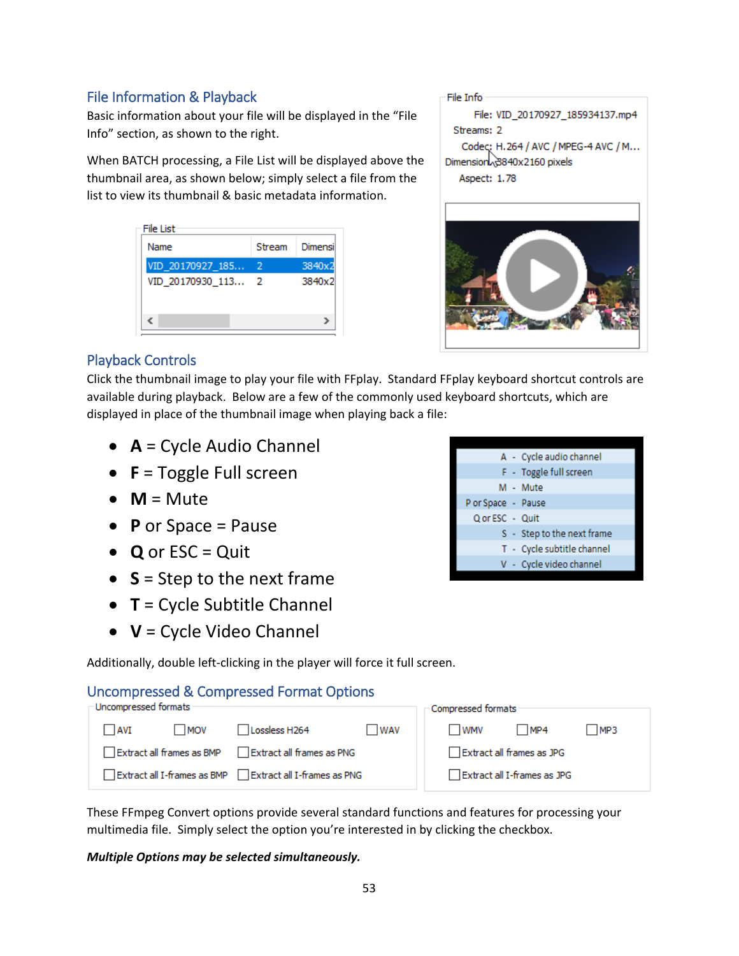# File Information & Playback

Basic information about your file will be displayed in the "File Info" section, as shown to the right.

When BATCH processing, a File List will be displayed above the thumbnail area, as shown below; simply select a file from the list to view its thumbnail & basic metadata information.

| File List        |        |         |
|------------------|--------|---------|
| Name             | Stream | Dimensi |
| VID 20170927 185 | 2      | 3840x2  |
| VID 20170930 113 | - 2    | 3840x2  |
|                  |        |         |



| File: VID_20170927_185934137.mp4<br>Streams: 2 |
|------------------------------------------------|
| Codec: H.264 / AVC / MPEG-4 AVC / M            |
| Dimension.3840x2160 pixels                     |
| Aspect: 1.78                                   |
|                                                |
|                                                |

# Playback Controls

Click the thumbnail image to play your file with FFplay. Standard FFplay keyboard shortcut controls are available during playback. Below are a few of the commonly used keyboard shortcuts, which are displayed in place of the thumbnail image when playing back a file:

- **A** = Cycle Audio Channel
- **F** = Toggle Full screen
- $\bullet$  **M** = Mute
- **P** or Space = Pause
- **Q** or ESC = Quit
- **S** = Step to the next frame
- **T** = Cycle Subtitle Channel
- **V** = Cycle Video Channel

Additionally, double left-clicking in the player will force it full screen.

# Uncompressed & Compressed Format Options

| Uncompressed formats      |                                                         |            | Compressed formats        |                             |     |
|---------------------------|---------------------------------------------------------|------------|---------------------------|-----------------------------|-----|
| <b>AVI</b><br>I IMOV      | Lossless H264                                           | <b>WAV</b> | I I WMV                   | $\vert$ $\vert$ MP4         | MP3 |
| Extract all frames as BMP | Extract all frames as PNG                               |            | Extract all frames as JPG |                             |     |
|                           | Extract all I-frames as BMP Extract all I-frames as PNG |            |                           | Extract all I-frames as JPG |     |

These FFmpeg Convert options provide several standard functions and features for processing your multimedia file. Simply select the option you're interested in by clicking the checkbox.

#### *Multiple Options may be selected simultaneously.*

|                    | A - Cycle audio channel    |
|--------------------|----------------------------|
|                    | F - Toggle full screen     |
|                    | M - Mute                   |
| P or Space - Pause |                            |
| Q or ESC - Quit    |                            |
|                    | S - Step to the next frame |
|                    | T - Cycle subtitle channel |
|                    | V - Cycle video channel    |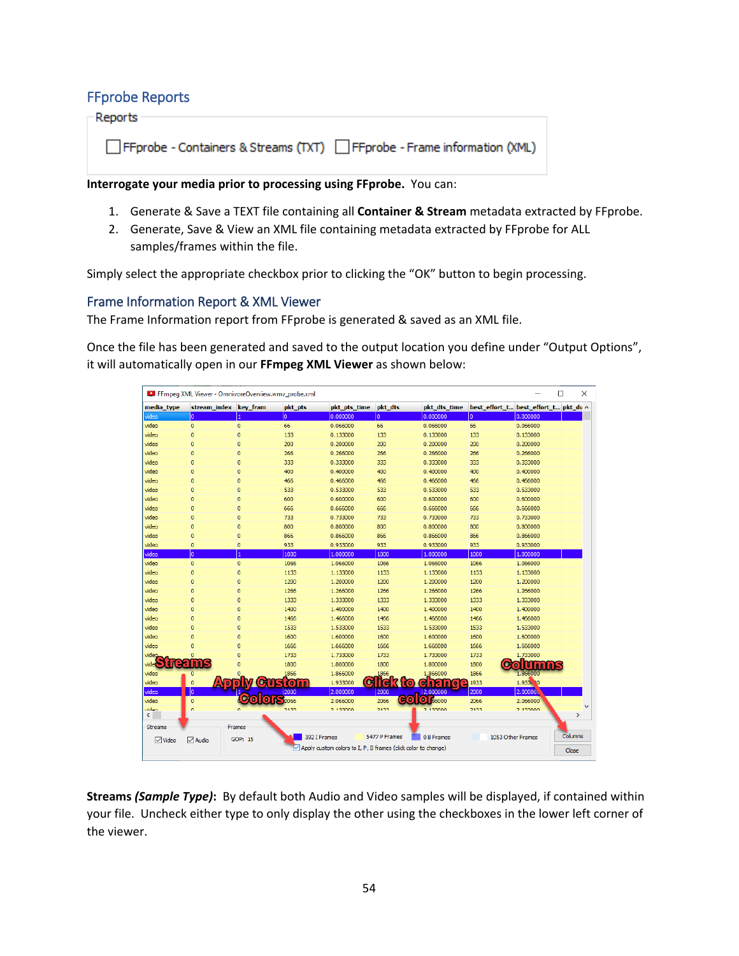# FFprobe Reports

| $\sqsubset$ Reports                                                    |  |
|------------------------------------------------------------------------|--|
| FFprobe - Containers & Streams (TXT) FFprobe - Frame information (XML) |  |

**Interrogate your media prior to processing using FFprobe.** You can:

- 1. Generate & Save a TEXT file containing all **Container & Stream** metadata extracted by FFprobe.
- 2. Generate, Save & View an XML file containing metadata extracted by FFprobe for ALL samples/frames within the file.

Simply select the appropriate checkbox prior to clicking the "OK" button to begin processing.

## Frame Information Report & XML Viewer

The Frame Information report from FFprobe is generated & saved as an XML file.

Once the file has been generated and saved to the output location you define under "Output Options", it will automatically open in our **FFmpeg XML Viewer** as shown below:

|                | FFmpeq XML Viewer - OmnivoreOverview.wmv_probe.xml |                 |              |                                                              |                                        |                |                                      |                   | $\Box$  | ×             |
|----------------|----------------------------------------------------|-----------------|--------------|--------------------------------------------------------------|----------------------------------------|----------------|--------------------------------------|-------------------|---------|---------------|
| media type     | stream index key fram                              |                 | pkt_pts      | pkt pts time                                                 | pkt dts                                | pkt dts time   | best effort t best effort t pkt du ^ |                   |         |               |
| video          | lo.                                                |                 | o            | 0.000000                                                     | o                                      | 0.000000       | O.                                   | 0.000000          |         |               |
| video          | $\mathbf 0$                                        | $\mathbf 0$     | 66           | 0.066000                                                     | 66                                     | 0.066000       | 66                                   | 0.066000          |         |               |
| video          | 0                                                  | 0               | 133          | 0.133000                                                     | 133                                    | 0.133000       | 133                                  | 0.133000          |         |               |
| video          | o                                                  | 0               | 200          | 0.200000                                                     | 200                                    | 0.200000       | 200                                  | 0.200000          |         |               |
| video          | $\overline{0}$                                     | $\mathbf{0}$    | 266          | 0.266000                                                     | 266                                    | 0.266000       | 266                                  | 0.266000          |         |               |
| video          | $\overline{0}$                                     | $\overline{0}$  | 333          | 0.333000                                                     | 333                                    | 0.333000       | 333                                  | 0.333000          |         |               |
| video          | $\overline{0}$                                     | $\overline{0}$  | 400          | 0.400000                                                     | 400                                    | 0.400000       | 400                                  | 0.400000          |         |               |
| video          | $\overline{0}$                                     | $\mathbf 0$     | 466          | 0.466000                                                     | 466                                    | 0.466000       | 466                                  | 0.466000          |         |               |
| video          | $\circ$                                            | 0               | 533          | 0.533000                                                     | 533                                    | 0.533000       | 533                                  | 0.533000          |         |               |
| video          | 0                                                  | 0               | 600          | 0.600000                                                     | 600                                    | 0.600000       | 600                                  | 0.600000          |         |               |
| video          | $\overline{0}$                                     | $\mathbf 0$     | 666          | 0.666000                                                     | 666                                    | 0.666000       | 666                                  | 0.666000          |         |               |
| video          | $\circ$                                            | $\overline{0}$  | 733          | 0.733000                                                     | 733                                    | 0.733000       | 733                                  | 0.733000          |         |               |
| video          | $\overline{0}$                                     | $\overline{0}$  | 800          | 0.800000                                                     | 800                                    | 0.800000       | 800                                  | 0.800000          |         |               |
| video          | $\circ$                                            | $\mathbf 0$     | 866          | 0.866000                                                     | 866                                    | 0.866000       | 866                                  | 0.866000          |         |               |
| video          | $\overline{0}$                                     | $\overline{0}$  | 933          | 0.933000                                                     | 933                                    | 0.933000       | 933                                  | 0.933000          |         |               |
| video          | lo.                                                | 1               | 1000         | 1.000000                                                     | 1000                                   | 1.000000       | 1000                                 | 1.000000          |         |               |
| video          | $\overline{0}$                                     | $\mathbf 0$     | 1066         | 1.066000                                                     | 1066                                   | 1.066000       | 1066                                 | 1.066000          |         |               |
| video          | $\circ$                                            | $\overline{0}$  | 1133         | 1.133000                                                     | 1133                                   | 1.133000       | 1133                                 | 1.133000          |         |               |
| video          | o                                                  | $\overline{0}$  | 1200         | 1.200000                                                     | 1200                                   | 1.200000       | 1200                                 | 1.200000          |         |               |
| video          | $\overline{0}$                                     | $\mathbf 0$     | 1266         | 1.266000                                                     | 1266                                   | 1.266000       | 1266                                 | 1.266000          |         |               |
| video          | $\circ$                                            | 0               | 1333         | 1.333000                                                     | 1333                                   | 1.333000       | 1333                                 | 1.333000          |         |               |
| video          | $\overline{0}$                                     | 0               | 1400         | 1,400000                                                     | 1400                                   | 1,400000       | 1400                                 | 1,400000          |         |               |
| video          | $\overline{0}$                                     | $\mathbf 0$     | 1466         | 1.466000                                                     | 1466                                   | 1,466000       | 1466                                 | 1,466000          |         |               |
| video          | $\overline{0}$                                     | $\overline{0}$  | 1533         | 1.533000                                                     | 1533                                   | 1.533000       | 1533                                 | 1.533000          |         |               |
| video          | $\overline{0}$                                     | $\overline{0}$  | 1600         | 1,600000                                                     | 1600                                   | 1.600000       | 1600                                 | 1,600000          |         |               |
| video          | 0                                                  | 0               | 1666         | 1.666000                                                     | 1666                                   | 1.666000       | 1666                                 | 1.666000          |         |               |
| video          |                                                    | 0               | 1733         | 1.733000                                                     | 1733                                   | 1.733000       | 1733                                 | 1.733000          |         |               |
| vide           | <b>reams</b>                                       | 0               | 1800         | 1,800000                                                     | 1800                                   | 1,800000       | 1800                                 | <b>COMM</b>       |         |               |
| video          | n                                                  |                 | 1866         | 1.866000                                                     | 1866                                   | 1,866000       | 1866                                 |                   |         |               |
| video          | <b>ADD</b><br>$\overline{0}$                       |                 | iom          | 1.933000                                                     | <b>ethak</b><br>o                      | enance         | 1933                                 | 1.933000          |         |               |
| video          | lо                                                 |                 | 2000         | 2.000000                                                     | 2000                                   | 2,000000       | 2000                                 | 2.00000           |         |               |
| video          | $\overline{0}$                                     | ο<br><b>OIR</b> | 2066         | 2.066000                                                     | $\left( \mathbf{e}(0) \right)$<br>2066 | <b>O</b> 66000 | 2066                                 | 2.066000          |         |               |
| ridan          | n                                                  |                 | 7133         | 2.133000                                                     | 7133                                   | 2.133000       | 7133                                 | 2.133000          |         | $\checkmark$  |
| ◟              |                                                    |                 |              |                                                              |                                        |                |                                      |                   |         | $\rightarrow$ |
| <b>Streams</b> |                                                    | Frames          |              |                                                              |                                        |                |                                      |                   |         |               |
| $\vee$ Video   | $\sqrt{}$ Audio                                    | <b>GOP: 15</b>  | 392 I Frames |                                                              | 5477 P Frames                          | 0 B Frames     |                                      | 1053 Other Frames | Columns |               |
|                |                                                    |                 |              | Apply custom colors to I, P, B frames (dick color to change) |                                        |                |                                      |                   |         |               |
|                |                                                    |                 |              |                                                              |                                        |                |                                      |                   | Close   |               |

**Streams** *(Sample Type)***:** By default both Audio and Video samples will be displayed, if contained within your file. Uncheck either type to only display the other using the checkboxes in the lower left corner of the viewer.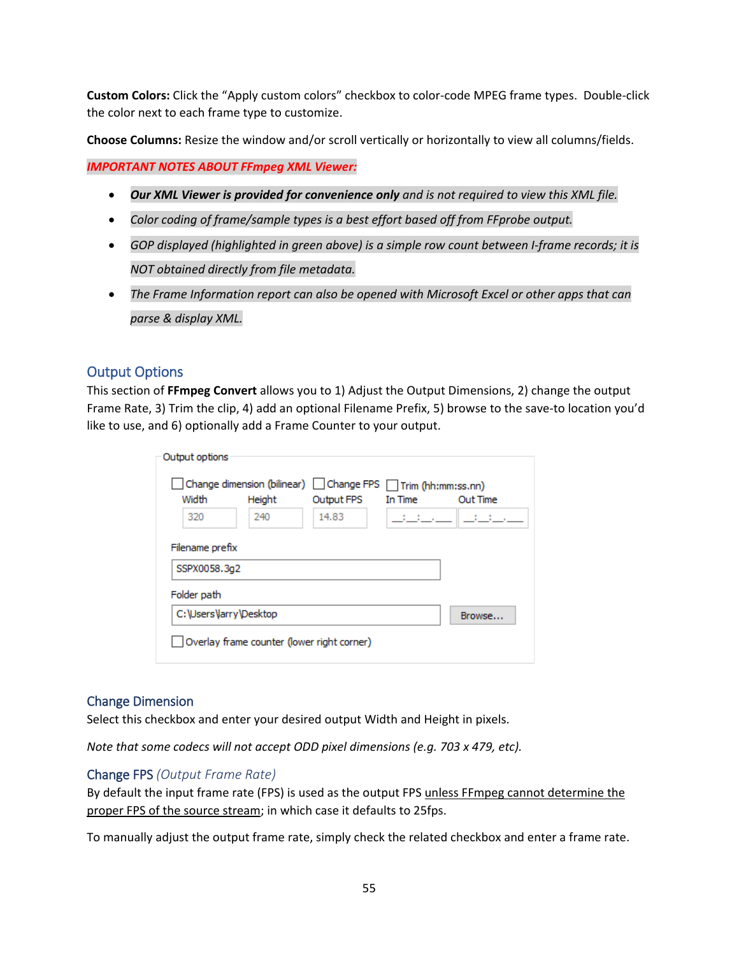**Custom Colors:** Click the "Apply custom colors" checkbox to color-code MPEG frame types. Double-click the color next to each frame type to customize.

**Choose Columns:** Resize the window and/or scroll vertically or horizontally to view all columns/fields.

*IMPORTANT NOTES ABOUT FFmpeg XML Viewer:* 

- *Our XML Viewer is provided for convenience only and is not required to view this XML file.*
- *Color coding of frame/sample types is a best effort based off from FFprobe output.*
- *GOP displayed (highlighted in green above) is a simple row count between I-frame records; it is NOT obtained directly from file metadata.*
- *The Frame Information report can also be opened with Microsoft Excel or other apps that can parse & display XML.*

## Output Options

This section of **FFmpeg Convert** allows you to 1) Adjust the Output Dimensions, 2) change the output Frame Rate, 3) Trim the clip, 4) add an optional Filename Prefix, 5) browse to the save-to location you'd like to use, and 6) optionally add a Frame Counter to your output.

| Width       | ] Change dimension (bilinear) □ Change FPS □ Trim (hh:mm:ss.nn)<br>Height | Output FPS | In Time                | Out Time        |
|-------------|---------------------------------------------------------------------------|------------|------------------------|-----------------|
| 320         | 240                                                                       | 14.83      | <b>Carl Carl Corp.</b> | <b>CARD AND</b> |
| Folder path |                                                                           |            |                        |                 |
|             |                                                                           |            |                        |                 |
|             | C:\Users\larry\Desktop                                                    |            |                        | Browse          |

#### Change Dimension

Select this checkbox and enter your desired output Width and Height in pixels.

*Note that some codecs will not accept ODD pixel dimensions (e.g. 703 x 479, etc).*

## Change FPS *(Output Frame Rate)*

By default the input frame rate (FPS) is used as the output FPS unless FFmpeg cannot determine the proper FPS of the source stream; in which case it defaults to 25fps.

To manually adjust the output frame rate, simply check the related checkbox and enter a frame rate.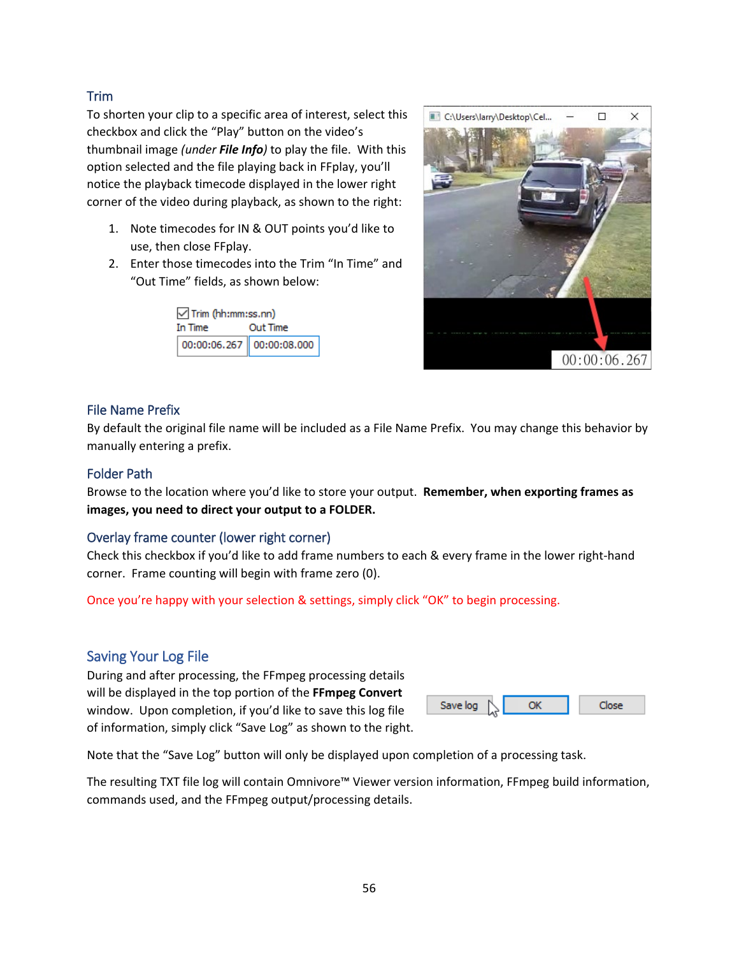## Trim

To shorten your clip to a specific area of interest, select this checkbox and click the "Play" button on the video's thumbnail image *(under File Info)* to play the file. With this option selected and the file playing back in FFplay, you'll notice the playback timecode displayed in the lower right corner of the video during playback, as shown to the right:

- 1. Note timecodes for IN & OUT points you'd like to use, then close FFplay.
- 2. Enter those timecodes into the Trim "In Time" and "Out Time" fields, as shown below:

| $\sqrt{\text{Trim (hh:mm:ss.nn)}}$ |                           |  |  |  |  |
|------------------------------------|---------------------------|--|--|--|--|
| In Time                            | Out Time                  |  |  |  |  |
|                                    | 00:00:06.267 00:00:08.000 |  |  |  |  |



## File Name Prefix

By default the original file name will be included as a File Name Prefix. You may change this behavior by manually entering a prefix.

## Folder Path

Browse to the location where you'd like to store your output. **Remember, when exporting frames as images, you need to direct your output to a FOLDER.**

## Overlay frame counter (lower right corner)

Check this checkbox if you'd like to add frame numbers to each & every frame in the lower right-hand corner. Frame counting will begin with frame zero (0).

Once you're happy with your selection & settings, simply click "OK" to begin processing.

## Saving Your Log File

During and after processing, the FFmpeg processing details will be displayed in the top portion of the **FFmpeg Convert** window. Upon completion, if you'd like to save this log file of information, simply click "Save Log" as shown to the right.

| Save log |  |
|----------|--|
|          |  |

Note that the "Save Log" button will only be displayed upon completion of a processing task.

The resulting TXT file log will contain Omnivore™ Viewer version information, FFmpeg build information, commands used, and the FFmpeg output/processing details.